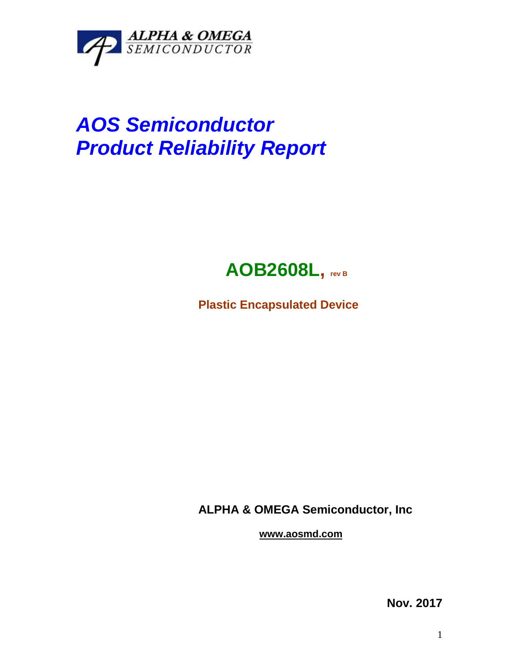

## *AOS Semiconductor Product Reliability Report*



**Plastic Encapsulated Device**

**ALPHA & OMEGA Semiconductor, Inc**

**www.aosmd.com**

**Nov. 2017**